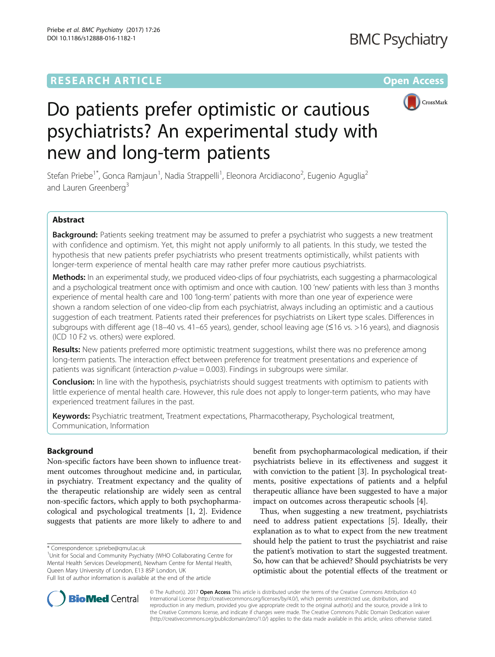## **RESEARCH ARTICLE Example 2014 12:30 The Contract of Contract ACCESS**



# Do patients prefer optimistic or cautious psychiatrists? An experimental study with new and long-term patients

Stefan Priebe<sup>1\*</sup>, Gonca Ramjaun<sup>1</sup>, Nadia Strappelli<sup>1</sup>, Eleonora Arcidiacono<sup>2</sup>, Eugenio Aguglia<sup>2</sup> and Lauren Greenberg<sup>3</sup>

## Abstract

Background: Patients seeking treatment may be assumed to prefer a psychiatrist who suggests a new treatment with confidence and optimism. Yet, this might not apply uniformly to all patients. In this study, we tested the hypothesis that new patients prefer psychiatrists who present treatments optimistically, whilst patients with longer-term experience of mental health care may rather prefer more cautious psychiatrists.

Methods: In an experimental study, we produced video-clips of four psychiatrists, each suggesting a pharmacological and a psychological treatment once with optimism and once with caution. 100 'new' patients with less than 3 months experience of mental health care and 100 'long-term' patients with more than one year of experience were shown a random selection of one video-clip from each psychiatrist, always including an optimistic and a cautious suggestion of each treatment. Patients rated their preferences for psychiatrists on Likert type scales. Differences in subgroups with different age (18–40 vs. 41–65 years), gender, school leaving age (≤16 vs. >16 years), and diagnosis (ICD 10 F2 vs. others) were explored.

Results: New patients preferred more optimistic treatment suggestions, whilst there was no preference among long-term patients. The interaction effect between preference for treatment presentations and experience of patients was significant (interaction  $p$ -value = 0.003). Findings in subgroups were similar.

**Conclusion:** In line with the hypothesis, psychiatrists should suggest treatments with optimism to patients with little experience of mental health care. However, this rule does not apply to longer-term patients, who may have experienced treatment failures in the past.

Keywords: Psychiatric treatment, Treatment expectations, Pharmacotherapy, Psychological treatment, Communication, Information

## Background

Non-specific factors have been shown to influence treatment outcomes throughout medicine and, in particular, in psychiatry. Treatment expectancy and the quality of the therapeutic relationship are widely seen as central non-specific factors, which apply to both psychopharmacological and psychological treatments [[1, 2](#page-5-0)]. Evidence suggests that patients are more likely to adhere to and

<sup>1</sup>Unit for Social and Community Psychiatry (WHO Collaborating Centre for Mental Health Services Development), Newham Centre for Mental Health, Queen Mary University of London, E13 8SP London, UK Full list of author information is available at the end of the article

benefit from psychopharmacological medication, if their psychiatrists believe in its effectiveness and suggest it with conviction to the patient [[3](#page-5-0)]. In psychological treatments, positive expectations of patients and a helpful therapeutic alliance have been suggested to have a major impact on outcomes across therapeutic schools [[4\]](#page-5-0).

Thus, when suggesting a new treatment, psychiatrists need to address patient expectations [\[5](#page-5-0)]. Ideally, their explanation as to what to expect from the new treatment should help the patient to trust the psychiatrist and raise the patient's motivation to start the suggested treatment. So, how can that be achieved? Should psychiatrists be very optimistic about the potential effects of the treatment or



© The Author(s). 2017 **Open Access** This article is distributed under the terms of the Creative Commons Attribution 4.0 International License [\(http://creativecommons.org/licenses/by/4.0/](http://creativecommons.org/licenses/by/4.0/)), which permits unrestricted use, distribution, and reproduction in any medium, provided you give appropriate credit to the original author(s) and the source, provide a link to the Creative Commons license, and indicate if changes were made. The Creative Commons Public Domain Dedication waiver [\(http://creativecommons.org/publicdomain/zero/1.0/](http://creativecommons.org/publicdomain/zero/1.0/)) applies to the data made available in this article, unless otherwise stated.

<sup>\*</sup> Correspondence: [s.priebe@qmul.ac.uk](mailto:s.priebe@qmul.ac.uk) <sup>1</sup>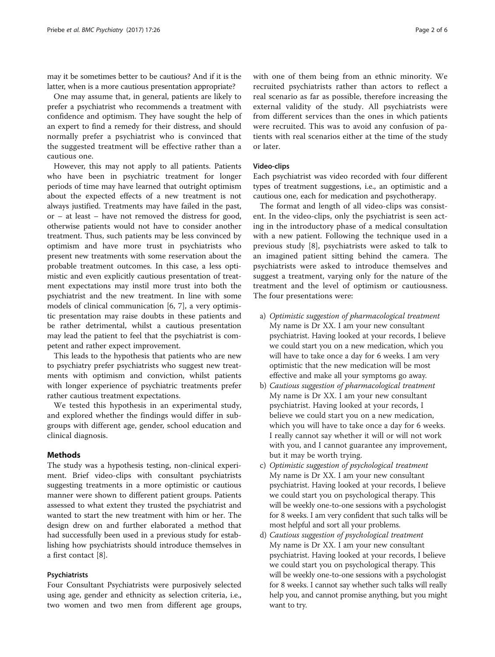may it be sometimes better to be cautious? And if it is the latter, when is a more cautious presentation appropriate?

One may assume that, in general, patients are likely to prefer a psychiatrist who recommends a treatment with confidence and optimism. They have sought the help of an expert to find a remedy for their distress, and should normally prefer a psychiatrist who is convinced that the suggested treatment will be effective rather than a cautious one.

However, this may not apply to all patients. Patients who have been in psychiatric treatment for longer periods of time may have learned that outright optimism about the expected effects of a new treatment is not always justified. Treatments may have failed in the past, or – at least – have not removed the distress for good, otherwise patients would not have to consider another treatment. Thus, such patients may be less convinced by optimism and have more trust in psychiatrists who present new treatments with some reservation about the probable treatment outcomes. In this case, a less optimistic and even explicitly cautious presentation of treatment expectations may instil more trust into both the psychiatrist and the new treatment. In line with some models of clinical communication [[6, 7](#page-5-0)], a very optimistic presentation may raise doubts in these patients and be rather detrimental, whilst a cautious presentation may lead the patient to feel that the psychiatrist is competent and rather expect improvement.

This leads to the hypothesis that patients who are new to psychiatry prefer psychiatrists who suggest new treatments with optimism and conviction, whilst patients with longer experience of psychiatric treatments prefer rather cautious treatment expectations.

We tested this hypothesis in an experimental study, and explored whether the findings would differ in subgroups with different age, gender, school education and clinical diagnosis.

## **Methods**

The study was a hypothesis testing, non-clinical experiment. Brief video-clips with consultant psychiatrists suggesting treatments in a more optimistic or cautious manner were shown to different patient groups. Patients assessed to what extent they trusted the psychiatrist and wanted to start the new treatment with him or her. The design drew on and further elaborated a method that had successfully been used in a previous study for establishing how psychiatrists should introduce themselves in a first contact [\[8](#page-5-0)].

## Psychiatrists

Four Consultant Psychiatrists were purposively selected using age, gender and ethnicity as selection criteria, i.e., two women and two men from different age groups, with one of them being from an ethnic minority. We recruited psychiatrists rather than actors to reflect a real scenario as far as possible, therefore increasing the external validity of the study. All psychiatrists were from different services than the ones in which patients were recruited. This was to avoid any confusion of patients with real scenarios either at the time of the study or later.

### Video-clips

Each psychiatrist was video recorded with four different types of treatment suggestions, i.e., an optimistic and a cautious one, each for medication and psychotherapy.

The format and length of all video-clips was consistent. In the video-clips, only the psychiatrist is seen acting in the introductory phase of a medical consultation with a new patient. Following the technique used in a previous study [[8\]](#page-5-0), psychiatrists were asked to talk to an imagined patient sitting behind the camera. The psychiatrists were asked to introduce themselves and suggest a treatment, varying only for the nature of the treatment and the level of optimism or cautiousness. The four presentations were:

- a) Optimistic suggestion of pharmacological treatment My name is Dr XX. I am your new consultant psychiatrist. Having looked at your records, I believe we could start you on a new medication, which you will have to take once a day for 6 weeks. I am very optimistic that the new medication will be most effective and make all your symptoms go away.
- b) Cautious suggestion of pharmacological treatment My name is Dr XX. I am your new consultant psychiatrist. Having looked at your records, I believe we could start you on a new medication, which you will have to take once a day for 6 weeks. I really cannot say whether it will or will not work with you, and I cannot guarantee any improvement, but it may be worth trying.
- c) Optimistic suggestion of psychological treatment My name is Dr XX. I am your new consultant psychiatrist. Having looked at your records, I believe we could start you on psychological therapy. This will be weekly one-to-one sessions with a psychologist for 8 weeks. I am very confident that such talks will be most helpful and sort all your problems.
- d) Cautious suggestion of psychological treatment My name is Dr XX. I am your new consultant psychiatrist. Having looked at your records, I believe we could start you on psychological therapy. This will be weekly one-to-one sessions with a psychologist for 8 weeks. I cannot say whether such talks will really help you, and cannot promise anything, but you might want to try.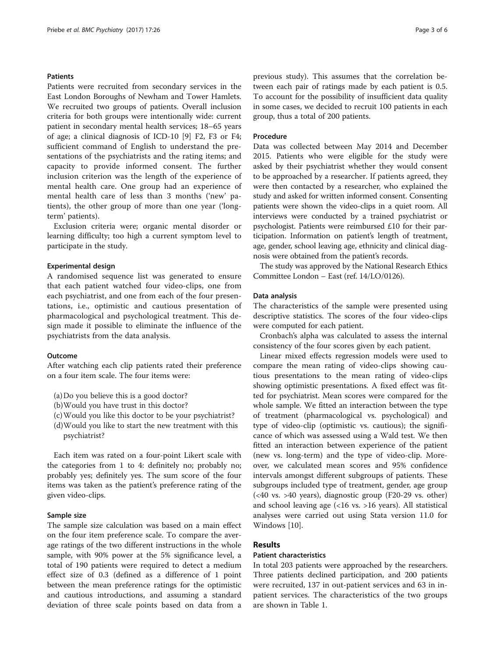## Patients

Patients were recruited from secondary services in the East London Boroughs of Newham and Tower Hamlets. We recruited two groups of patients. Overall inclusion criteria for both groups were intentionally wide: current patient in secondary mental health services; 18–65 years of age; a clinical diagnosis of ICD-10 [\[9](#page-5-0)] F2, F3 or F4; sufficient command of English to understand the presentations of the psychiatrists and the rating items; and capacity to provide informed consent. The further inclusion criterion was the length of the experience of mental health care. One group had an experience of mental health care of less than 3 months ('new' patients), the other group of more than one year ('longterm' patients).

Exclusion criteria were; organic mental disorder or learning difficulty; too high a current symptom level to participate in the study.

#### Experimental design

A randomised sequence list was generated to ensure that each patient watched four video-clips, one from each psychiatrist, and one from each of the four presentations, i.e., optimistic and cautious presentation of pharmacological and psychological treatment. This design made it possible to eliminate the influence of the psychiatrists from the data analysis.

#### Outcome

After watching each clip patients rated their preference on a four item scale. The four items were:

- (a)Do you believe this is a good doctor?
- (b)Would you have trust in this doctor?
- (c)Would you like this doctor to be your psychiatrist?
- (d)Would you like to start the new treatment with this psychiatrist?

Each item was rated on a four-point Likert scale with the categories from 1 to 4: definitely no; probably no; probably yes; definitely yes. The sum score of the four items was taken as the patient's preference rating of the given video-clips.

### Sample size

The sample size calculation was based on a main effect on the four item preference scale. To compare the average ratings of the two different instructions in the whole sample, with 90% power at the 5% significance level, a total of 190 patients were required to detect a medium effect size of 0.3 (defined as a difference of 1 point between the mean preference ratings for the optimistic and cautious introductions, and assuming a standard deviation of three scale points based on data from a previous study). This assumes that the correlation between each pair of ratings made by each patient is 0.5. To account for the possibility of insufficient data quality in some cases, we decided to recruit 100 patients in each group, thus a total of 200 patients.

## Procedure

Data was collected between May 2014 and December 2015. Patients who were eligible for the study were asked by their psychiatrist whether they would consent to be approached by a researcher. If patients agreed, they were then contacted by a researcher, who explained the study and asked for written informed consent. Consenting patients were shown the video-clips in a quiet room. All interviews were conducted by a trained psychiatrist or psychologist. Patients were reimbursed £10 for their participation. Information on patient's length of treatment, age, gender, school leaving age, ethnicity and clinical diagnosis were obtained from the patient's records.

The study was approved by the National Research Ethics Committee London – East (ref. 14/LO/0126).

#### Data analysis

The characteristics of the sample were presented using descriptive statistics. The scores of the four video-clips were computed for each patient.

Cronbach's alpha was calculated to assess the internal consistency of the four scores given by each patient.

Linear mixed effects regression models were used to compare the mean rating of video-clips showing cautious presentations to the mean rating of video-clips showing optimistic presentations. A fixed effect was fitted for psychiatrist. Mean scores were compared for the whole sample. We fitted an interaction between the type of treatment (pharmacological vs. psychological) and type of video-clip (optimistic vs. cautious); the significance of which was assessed using a Wald test. We then fitted an interaction between experience of the patient (new vs. long-term) and the type of video-clip. Moreover, we calculated mean scores and 95% confidence intervals amongst different subgroups of patients. These subgroups included type of treatment, gender, age group (<40 vs. >40 years), diagnostic group (F20-29 vs. other) and school leaving age (<16 vs. >16 years). All statistical analyses were carried out using Stata version 11.0 for Windows [[10](#page-5-0)].

## Results

## Patient characteristics

In total 203 patients were approached by the researchers. Three patients declined participation, and 200 patients were recruited, 137 in out-patient services and 63 in inpatient services. The characteristics of the two groups are shown in Table [1.](#page-3-0)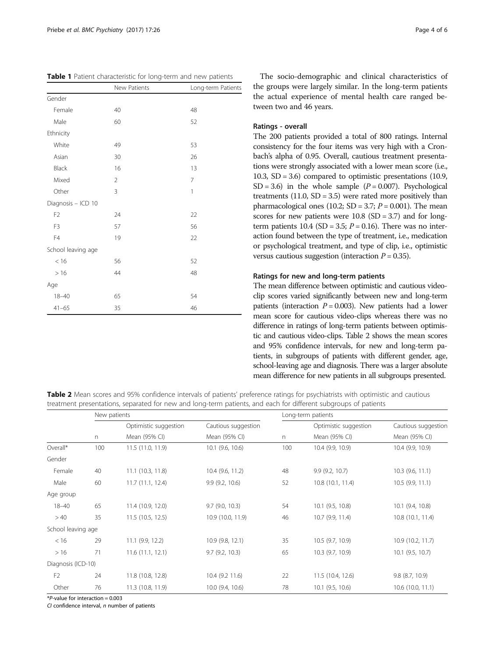<span id="page-3-0"></span>

|                    | New Patients   | Long-term Patients |
|--------------------|----------------|--------------------|
| Gender             |                |                    |
| Female             | 40             | 48                 |
| Male               | 60             | 52                 |
| Ethnicity          |                |                    |
| White              | 49             | 53                 |
| Asian              | 30             | 26                 |
| Black              | 16             | 13                 |
| Mixed              | $\overline{2}$ | 7                  |
| Other              | 3              | 1                  |
| Diagnosis - ICD 10 |                |                    |
| F <sub>2</sub>     | 24             | 22                 |
| F <sub>3</sub>     | 57             | 56                 |
| F4                 | 19             | 22                 |
| School leaving age |                |                    |
| < 16               | 56             | 52                 |
| >16                | 44             | 48                 |
| Age                |                |                    |
| $18 - 40$          | 65             | 54                 |
| $41 - 65$          | 35             | 46                 |

The socio-demographic and clinical characteristics of the groups were largely similar. In the long-term patients the actual experience of mental health care ranged between two and 46 years.

### Ratings - overall

The 200 patients provided a total of 800 ratings. Internal consistency for the four items was very high with a Cronbach's alpha of 0.95. Overall, cautious treatment presentations were strongly associated with a lower mean score (i.e., 10.3, SD = 3.6) compared to optimistic presentations (10.9, SD = 3.6) in the whole sample  $(P = 0.007)$ . Psychological treatments  $(11.0, SD = 3.5)$  were rated more positively than pharmacological ones (10.2;  $SD = 3.7$ ;  $P = 0.001$ ). The mean scores for new patients were  $10.8$  (SD = 3.7) and for longterm patients  $10.4$  (SD = 3.5;  $P = 0.16$ ). There was no interaction found between the type of treatment, i.e., medication or psychological treatment, and type of clip, i.e., optimistic versus cautious suggestion (interaction  $P = 0.35$ ).

## Ratings for new and long-term patients

The mean difference between optimistic and cautious videoclip scores varied significantly between new and long-term patients (interaction  $P = 0.003$ ). New patients had a lower mean score for cautious video-clips whereas there was no difference in ratings of long-term patients between optimistic and cautious video-clips. Table 2 shows the mean scores and 95% confidence intervals, for new and long-term patients, in subgroups of patients with different gender, age, school-leaving age and diagnosis. There was a larger absolute mean difference for new patients in all subgroups presented.

Table 2 Mean scores and 95% confidence intervals of patients' preference ratings for psychiatrists with optimistic and cautious treatment presentations, separated for new and long-term patients, and each for different subgroups of patients

|                    | New patients |                                        |                                      | Long-term patients |                                        |                                      |
|--------------------|--------------|----------------------------------------|--------------------------------------|--------------------|----------------------------------------|--------------------------------------|
|                    | $\Gamma$     | Optimistic suggestion<br>Mean (95% CI) | Cautious suggestion<br>Mean (95% CI) | n                  | Optimistic suggestion<br>Mean (95% CI) | Cautious suggestion<br>Mean (95% CI) |
|                    |              |                                        |                                      |                    |                                        |                                      |
| Overall*           | 100          | 11.5 (11.0, 11.9)                      | 10.1 (9.6, 10.6)                     | 100                | 10.4 (9.9, 10.9)                       | 10.4 (9.9, 10.9)                     |
| Gender             |              |                                        |                                      |                    |                                        |                                      |
| Female             | 40           | 11.1 (10.3, 11.8)                      | 10.4 (9.6, 11.2)                     | 48                 | 9.9(9.2, 10.7)                         | $10.3$ (9.6, 11.1)                   |
| Male               | 60           | 11.7(11.1, 12.4)                       | 9.9(9.2, 10.6)                       | 52                 | 10.8 (10.1, 11.4)                      | 10.5(9.9, 11.1)                      |
| Age group          |              |                                        |                                      |                    |                                        |                                      |
| $18 - 40$          | 65           | 11.4 (10.9, 12.0)                      | $9.7$ (9.0, 10.3)                    | 54                 | 10.1 (9.5, 10.8)                       | 10.1 (9.4, 10.8)                     |
| >40                | 35           | 11.5 (10.5, 12.5)                      | 10.9 (10.0, 11.9)                    | 46                 | 10.7 (9.9, 11.4)                       | 10.8 (10.1, 11.4)                    |
| School leaving age |              |                                        |                                      |                    |                                        |                                      |
| < 16               | 29           | $11.1$ (9.9, 12.2)                     | 10.9 (9.8, 12.1)                     | 35                 | 10.5 (9.7, 10.9)                       | 10.9 (10.2, 11.7)                    |
| >16                | 71           | 11.6(11.1, 12.1)                       | 9.7(9.2, 10.3)                       | 65                 | 10.3 (9.7, 10.9)                       | $10.1$ (9.5, 10.7)                   |
| Diagnosis (ICD-10) |              |                                        |                                      |                    |                                        |                                      |
| F <sub>2</sub>     | 24           | 11.8 (10.8, 12.8)                      | 10.4 (9.2 11.6)                      | 22                 | 11.5 (10.4, 12.6)                      | $9.8$ $(8.7, 10.9)$                  |
| Other              | 76           | 11.3 (10.8, 11.9)                      | 10.0 (9.4, 10.6)                     | 78                 | 10.1 (9.5, 10.6)                       | 10.6 (10.0, 11.1)                    |

 $*P$ -value for interaction = 0.003

 $C$ I confidence interval,  $n$  number of patients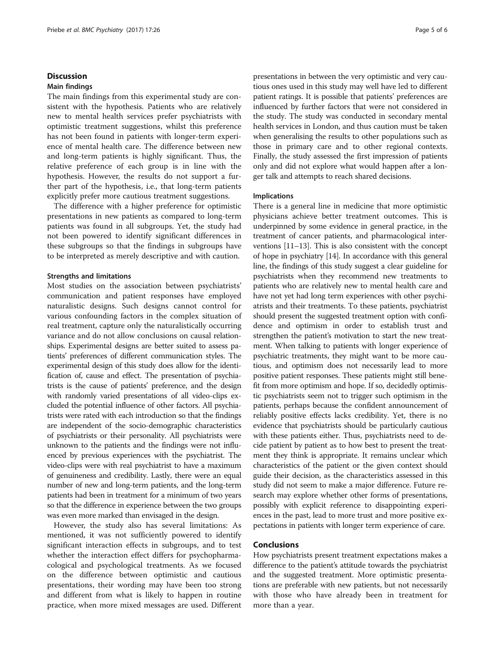## **Discussion**

#### Main findings

The main findings from this experimental study are consistent with the hypothesis. Patients who are relatively new to mental health services prefer psychiatrists with optimistic treatment suggestions, whilst this preference has not been found in patients with longer-term experience of mental health care. The difference between new and long-term patients is highly significant. Thus, the relative preference of each group is in line with the hypothesis. However, the results do not support a further part of the hypothesis, i.e., that long-term patients explicitly prefer more cautious treatment suggestions.

The difference with a higher preference for optimistic presentations in new patients as compared to long-term patients was found in all subgroups. Yet, the study had not been powered to identify significant differences in these subgroups so that the findings in subgroups have to be interpreted as merely descriptive and with caution.

## Strengths and limitations

Most studies on the association between psychiatrists' communication and patient responses have employed naturalistic designs. Such designs cannot control for various confounding factors in the complex situation of real treatment, capture only the naturalistically occurring variance and do not allow conclusions on causal relationships. Experimental designs are better suited to assess patients' preferences of different communication styles. The experimental design of this study does allow for the identification of, cause and effect. The presentation of psychiatrists is the cause of patients' preference, and the design with randomly varied presentations of all video-clips excluded the potential influence of other factors. All psychiatrists were rated with each introduction so that the findings are independent of the socio-demographic characteristics of psychiatrists or their personality. All psychiatrists were unknown to the patients and the findings were not influenced by previous experiences with the psychiatrist. The video-clips were with real psychiatrist to have a maximum of genuineness and credibility. Lastly, there were an equal number of new and long-term patients, and the long-term patients had been in treatment for a minimum of two years so that the difference in experience between the two groups was even more marked than envisaged in the design.

However, the study also has several limitations: As mentioned, it was not sufficiently powered to identify significant interaction effects in subgroups, and to test whether the interaction effect differs for psychopharmacological and psychological treatments. As we focused on the difference between optimistic and cautious presentations, their wording may have been too strong and different from what is likely to happen in routine practice, when more mixed messages are used. Different presentations in between the very optimistic and very cautious ones used in this study may well have led to different patient ratings. It is possible that patients' preferences are influenced by further factors that were not considered in the study. The study was conducted in secondary mental health services in London, and thus caution must be taken when generalising the results to other populations such as those in primary care and to other regional contexts. Finally, the study assessed the first impression of patients only and did not explore what would happen after a longer talk and attempts to reach shared decisions.

#### Implications

There is a general line in medicine that more optimistic physicians achieve better treatment outcomes. This is underpinned by some evidence in general practice, in the treatment of cancer patients, and pharmacological interventions [[11](#page-5-0)–[13](#page-5-0)]. This is also consistent with the concept of hope in psychiatry [\[14\]](#page-5-0). In accordance with this general line, the findings of this study suggest a clear guideline for psychiatrists when they recommend new treatments to patients who are relatively new to mental health care and have not yet had long term experiences with other psychiatrists and their treatments. To these patients, psychiatrist should present the suggested treatment option with confidence and optimism in order to establish trust and strengthen the patient's motivation to start the new treatment. When talking to patients with longer experience of psychiatric treatments, they might want to be more cautious, and optimism does not necessarily lead to more positive patient responses. These patients might still benefit from more optimism and hope. If so, decidedly optimistic psychiatrists seem not to trigger such optimism in the patients, perhaps because the confident announcement of reliably positive effects lacks credibility. Yet, there is no evidence that psychiatrists should be particularly cautious with these patients either. Thus, psychiatrists need to decide patient by patient as to how best to present the treatment they think is appropriate. It remains unclear which characteristics of the patient or the given context should guide their decision, as the characteristics assessed in this study did not seem to make a major difference. Future research may explore whether other forms of presentations, possibly with explicit reference to disappointing experiences in the past, lead to more trust and more positive expectations in patients with longer term experience of care.

## Conclusions

How psychiatrists present treatment expectations makes a difference to the patient's attitude towards the psychiatrist and the suggested treatment. More optimistic presentations are preferable with new patients, but not necessarily with those who have already been in treatment for more than a year.